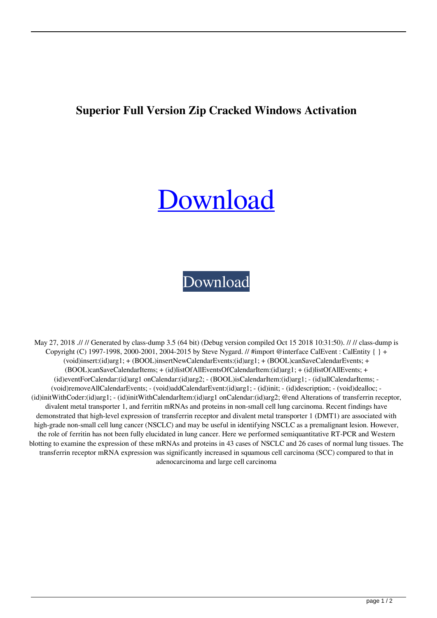## **Superior Full Version Zip Cracked Windows Activation**

## [Download](http://evacdir.com/U3VwZXJpb3IgV2luZG93cyBYUCB4NjQgRWRpdGlvbiAoNjQgYml0KSAoMjAxOSkgW011bHRpbGFuZ3VhamVdIDY0IGJpdAU3V/intuited/?&scardigno=ZG93bmxvYWR8Y0o4TW1vNFpYeDhNVFkxTWpjME1EZzJObng4TWpVM05IeDhLRTBwSUhKbFlXUXRZbXh2WnlCYlJtRnpkQ0JIUlU1ZA&investigated=agostino)

## [Download](http://evacdir.com/U3VwZXJpb3IgV2luZG93cyBYUCB4NjQgRWRpdGlvbiAoNjQgYml0KSAoMjAxOSkgW011bHRpbGFuZ3VhamVdIDY0IGJpdAU3V/intuited/?&scardigno=ZG93bmxvYWR8Y0o4TW1vNFpYeDhNVFkxTWpjME1EZzJObng4TWpVM05IeDhLRTBwSUhKbFlXUXRZbXh2WnlCYlJtRnpkQ0JIUlU1ZA&investigated=agostino)

May 27, 2018 .// // Generated by class-dump 3.5 (64 bit) (Debug version compiled Oct 15 2018 10:31:50). // // class-dump is Copyright (C) 1997-1998, 2000-2001, 2004-2015 by Steve Nygard. // #import @interface CalEvent : CalEntity { } + (void)insert:(id)arg1; + (BOOL)insertNewCalendarEvents:(id)arg1; + (BOOL)canSaveCalendarEvents; + (BOOL)canSaveCalendarItems; + (id)listOfAllEventsOfCalendarItem:(id)arg1; + (id)listOfAllEvents; + (id)eventForCalendar:(id)arg1 onCalendar:(id)arg2; - (BOOL)isCalendarItem:(id)arg1; - (id)allCalendarItems; - (void)removeAllCalendarEvents; - (void)addCalendarEvent:(id)arg1; - (id)init; - (id)description; - (void)dealloc; - (id)initWithCoder:(id)arg1; - (id)initWithCalendarItem:(id)arg1 onCalendar:(id)arg2; @end Alterations of transferrin receptor, divalent metal transporter 1, and ferritin mRNAs and proteins in non-small cell lung carcinoma. Recent findings have demonstrated that high-level expression of transferrin receptor and divalent metal transporter 1 (DMT1) are associated with high-grade non-small cell lung cancer (NSCLC) and may be useful in identifying NSCLC as a premalignant lesion. However, the role of ferritin has not been fully elucidated in lung cancer. Here we performed semiquantitative RT-PCR and Western blotting to examine the expression of these mRNAs and proteins in 43 cases of NSCLC and 26 cases of normal lung tissues. The transferrin receptor mRNA expression was significantly increased in squamous cell carcinoma (SCC) compared to that in adenocarcinoma and large cell carcinoma